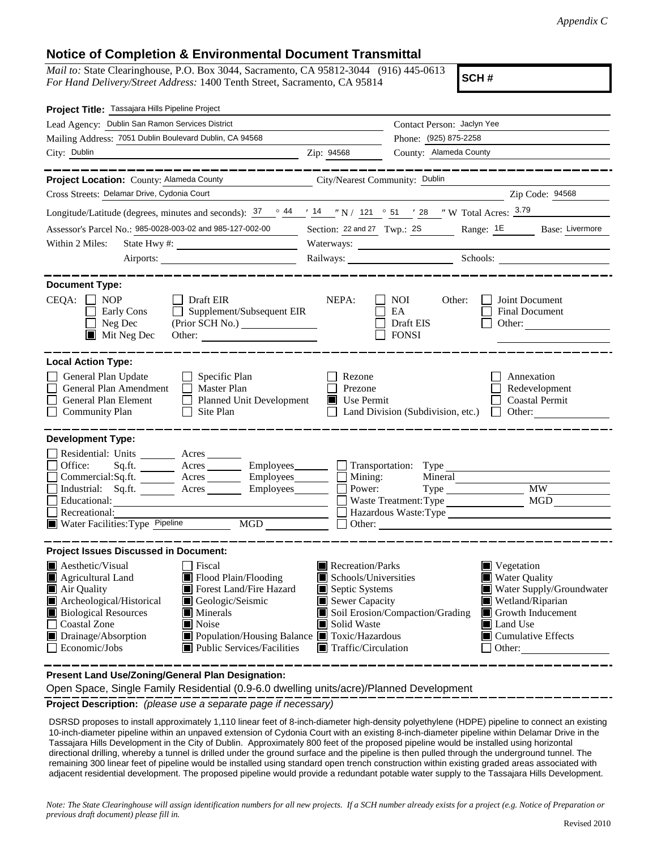## **Notice of Completion & Environmental Document Transmittal**

*Mail to:* State Clearinghouse, P.O. Box 3044, Sacramento, CA 95812-3044 (916) 445-0613 *For Hand Delivery/Street Address:* 1400 Tenth Street, Sacramento, CA 95814

**SCH #**

| Project Title: Tassajara Hills Pipeline Project                                                                                                                                                                  |                                                                                                                                                                 |                                                         |                                                       |  |  |  |  |
|------------------------------------------------------------------------------------------------------------------------------------------------------------------------------------------------------------------|-----------------------------------------------------------------------------------------------------------------------------------------------------------------|---------------------------------------------------------|-------------------------------------------------------|--|--|--|--|
| Lead Agency: Dublin San Ramon Services District                                                                                                                                                                  | Contact Person: Jaclyn Yee                                                                                                                                      |                                                         |                                                       |  |  |  |  |
| Mailing Address: 7051 Dublin Boulevard Dublin, CA 94568                                                                                                                                                          |                                                                                                                                                                 | Phone: (925) 875-2258                                   |                                                       |  |  |  |  |
| City: Dublin                                                                                                                                                                                                     | Zip: 94568                                                                                                                                                      | County: Alameda County                                  |                                                       |  |  |  |  |
|                                                                                                                                                                                                                  |                                                                                                                                                                 |                                                         |                                                       |  |  |  |  |
| Project Location: County: Alameda County                                                                                                                                                                         | City/Nearest Community: Dublin                                                                                                                                  |                                                         |                                                       |  |  |  |  |
| Cross Streets: Delamar Drive, Cydonia Court                                                                                                                                                                      |                                                                                                                                                                 |                                                         | Zip Code: 94568                                       |  |  |  |  |
| Longitude/Latitude (degrees, minutes and seconds): $\frac{37}{16}$ $\frac{44}{14}$ $\frac{14}{14}$ $\frac{14}{14}$ N / 121 $\degree$ 51 $\degree$ 128 $\degree$ W Total Acres: $\frac{3.79}{16.1}$               |                                                                                                                                                                 |                                                         |                                                       |  |  |  |  |
| Assessor's Parcel No.: 985-0028-003-02 and 985-127-002-00                                                                                                                                                        |                                                                                                                                                                 |                                                         | Section: 22 and 27 Twp.: 2S Range: 1E Base: Livermore |  |  |  |  |
| Within 2 Miles:                                                                                                                                                                                                  |                                                                                                                                                                 |                                                         |                                                       |  |  |  |  |
|                                                                                                                                                                                                                  | Railways: Schools: Schools:                                                                                                                                     |                                                         |                                                       |  |  |  |  |
|                                                                                                                                                                                                                  |                                                                                                                                                                 |                                                         |                                                       |  |  |  |  |
| <b>Document Type:</b><br>CEQA:<br>$\blacksquare$ NOP<br>$\Box$ Draft EIR<br>Supplement/Subsequent EIR<br>Early Cons<br>$\Box$ Neg Dec<br>(Prior SCH No.)<br>$\blacksquare$ Mit Neg Dec<br>Other: $\qquad \qquad$ | NEPA:                                                                                                                                                           | <b>NOI</b><br>Other:<br>EA<br>Draft EIS<br><b>FONSI</b> | Joint Document<br>Final Document<br>Other:            |  |  |  |  |
| <b>Local Action Type:</b>                                                                                                                                                                                        |                                                                                                                                                                 |                                                         |                                                       |  |  |  |  |
| General Plan Update<br>$\Box$ Specific Plan<br>General Plan Amendment<br>$\Box$ Master Plan<br><b>General Plan Element</b><br>Planned Unit Development<br><b>Community Plan</b><br>Site Plan<br>$\perp$          | Rezone<br>Annexation<br>Prezone<br>Redevelopment<br>$\blacksquare$ Use Permit<br><b>Coastal Permit</b><br>Land Division (Subdivision, etc.)<br>Other:<br>$\Box$ |                                                         |                                                       |  |  |  |  |
| <b>Development Type:</b><br>Residential: Units ________ Acres _____<br>Office:<br>Sq.ft. ________ Acres __________ Employees ________ __ Transportation: Type _________                                          |                                                                                                                                                                 |                                                         |                                                       |  |  |  |  |
| Commercial:Sq.ft. _______ Acres ________ Employees _______ □ Mining:                                                                                                                                             |                                                                                                                                                                 |                                                         |                                                       |  |  |  |  |
| Industrial: Sq.ft. _______ Acres _______ Employees _______ $\Box$                                                                                                                                                | Power:                                                                                                                                                          | Type                                                    | MW<br><b>MGD</b>                                      |  |  |  |  |
| Educational:<br>Recreational:                                                                                                                                                                                    | Waste Treatment: Type<br>Hazardous Waste: Type                                                                                                                  |                                                         |                                                       |  |  |  |  |
| Water Facilities: Type Pipeline<br>MGD                                                                                                                                                                           |                                                                                                                                                                 |                                                         |                                                       |  |  |  |  |
|                                                                                                                                                                                                                  |                                                                                                                                                                 |                                                         |                                                       |  |  |  |  |
| <b>Project Issues Discussed in Document:</b>                                                                                                                                                                     |                                                                                                                                                                 |                                                         |                                                       |  |  |  |  |
| Aesthetic/Visual<br>Fiscal<br>Flood Plain/Flooding<br>Agricultural Land                                                                                                                                          | $\blacksquare$ Recreation/Parks<br>Schools/Universities                                                                                                         |                                                         | $\blacksquare$ Vegetation<br>Water Quality            |  |  |  |  |
| Forest Land/Fire Hazard<br>Air Quality                                                                                                                                                                           | Septic Systems                                                                                                                                                  |                                                         | Water Supply/Groundwater                              |  |  |  |  |
| Archeological/Historical<br>Geologic/Seismic                                                                                                                                                                     | Sewer Capacity                                                                                                                                                  |                                                         | Wetland/Riparian<br>ш                                 |  |  |  |  |
| <b>Biological Resources</b><br>$\blacksquare$ Minerals<br><b>Coastal Zone</b><br>Noise                                                                                                                           | Soil Erosion/Compaction/Grading<br>Growth Inducement<br>ш<br>Solid Waste<br>Land Use                                                                            |                                                         |                                                       |  |  |  |  |
| Drainage/Absorption<br>Population/Housing Balance ■ Toxic/Hazardous                                                                                                                                              |                                                                                                                                                                 |                                                         | $\blacksquare$ Cumulative Effects                     |  |  |  |  |
| Public Services/Facilities<br>Economic/Jobs                                                                                                                                                                      | Traffic/Circulation<br>Other:                                                                                                                                   |                                                         |                                                       |  |  |  |  |
|                                                                                                                                                                                                                  |                                                                                                                                                                 |                                                         |                                                       |  |  |  |  |

**Present Land Use/Zoning/General Plan Designation:**

Open Space, Single Family Residential (0.9-6.0 dwelling units/acre)/Planned Development

**Project Description:** *(please use a separate page if necessary)*

 DSRSD proposes to install approximately 1,110 linear feet of 8-inch-diameter high-density polyethylene (HDPE) pipeline to connect an existing 10-inch-diameter pipeline within an unpaved extension of Cydonia Court with an existing 8-inch-diameter pipeline within Delamar Drive in the Tassajara Hills Development in the City of Dublin. Approximately 800 feet of the proposed pipeline would be installed using horizontal directional drilling, whereby a tunnel is drilled under the ground surface and the pipeline is then pulled through the underground tunnel. The remaining 300 linear feet of pipeline would be installed using standard open trench construction within existing graded areas associated with adjacent residential development. The proposed pipeline would provide a redundant potable water supply to the Tassajara Hills Development.

*Note: The State Clearinghouse will assign identification numbers for all new projects. If a SCH number already exists for a project (e.g. Notice of Preparation or previous draft document) please fill in.*